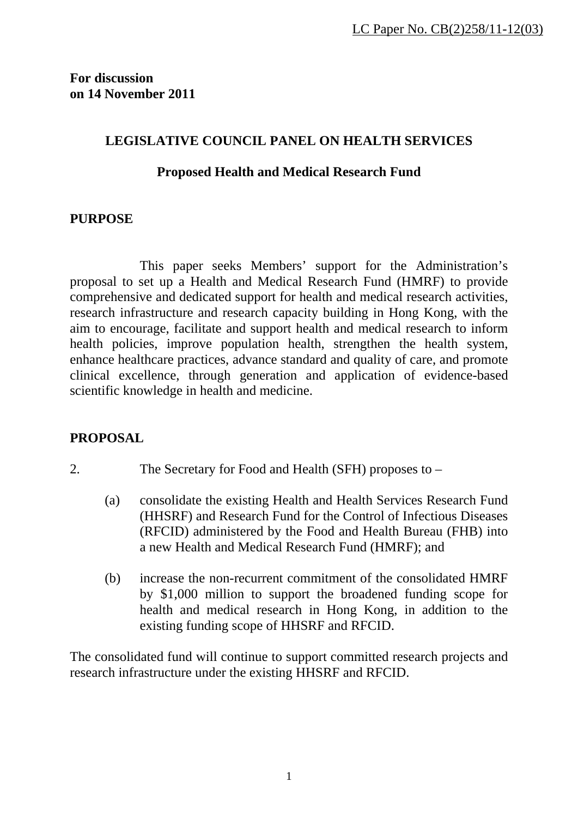**For discussion on 14 November 2011** 

# **LEGISLATIVE COUNCIL PANEL ON HEALTH SERVICES**

# **Proposed Health and Medical Research Fund**

# **PURPOSE**

 This paper seeks Members' support for the Administration's proposal to set up a Health and Medical Research Fund (HMRF) to provide comprehensive and dedicated support for health and medical research activities, research infrastructure and research capacity building in Hong Kong, with the aim to encourage, facilitate and support health and medical research to inform health policies, improve population health, strengthen the health system, enhance healthcare practices, advance standard and quality of care, and promote clinical excellence, through generation and application of evidence-based scientific knowledge in health and medicine.

# **PROPOSAL**

- 2. The Secretary for Food and Health (SFH) proposes to
	- (a) consolidate the existing Health and Health Services Research Fund (HHSRF) and Research Fund for the Control of Infectious Diseases (RFCID) administered by the Food and Health Bureau (FHB) into a new Health and Medical Research Fund (HMRF); and
	- (b) increase the non-recurrent commitment of the consolidated HMRF by \$1,000 million to support the broadened funding scope for health and medical research in Hong Kong, in addition to the existing funding scope of HHSRF and RFCID.

The consolidated fund will continue to support committed research projects and research infrastructure under the existing HHSRF and RFCID.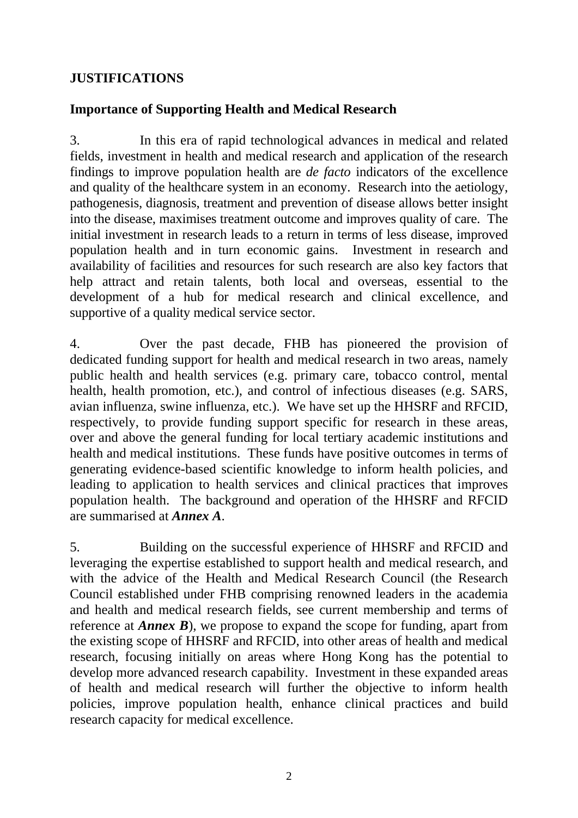# **JUSTIFICATIONS**

# **Importance of Supporting Health and Medical Research**

3. In this era of rapid technological advances in medical and related fields, investment in health and medical research and application of the research findings to improve population health are *de facto* indicators of the excellence and quality of the healthcare system in an economy. Research into the aetiology, pathogenesis, diagnosis, treatment and prevention of disease allows better insight into the disease, maximises treatment outcome and improves quality of care. The initial investment in research leads to a return in terms of less disease, improved population health and in turn economic gains. Investment in research and availability of facilities and resources for such research are also key factors that help attract and retain talents, both local and overseas, essential to the development of a hub for medical research and clinical excellence, and supportive of a quality medical service sector.

4. Over the past decade, FHB has pioneered the provision of dedicated funding support for health and medical research in two areas, namely public health and health services (e.g. primary care, tobacco control, mental health, health promotion, etc.), and control of infectious diseases (e.g. SARS, avian influenza, swine influenza, etc.). We have set up the HHSRF and RFCID, respectively, to provide funding support specific for research in these areas, over and above the general funding for local tertiary academic institutions and health and medical institutions. These funds have positive outcomes in terms of generating evidence-based scientific knowledge to inform health policies, and leading to application to health services and clinical practices that improves population health. The background and operation of the HHSRF and RFCID are summarised at *Annex A*.

5. Building on the successful experience of HHSRF and RFCID and leveraging the expertise established to support health and medical research, and with the advice of the Health and Medical Research Council (the Research Council established under FHB comprising renowned leaders in the academia and health and medical research fields, see current membership and terms of reference at *Annex B*), we propose to expand the scope for funding, apart from the existing scope of HHSRF and RFCID, into other areas of health and medical research, focusing initially on areas where Hong Kong has the potential to develop more advanced research capability. Investment in these expanded areas of health and medical research will further the objective to inform health policies, improve population health, enhance clinical practices and build research capacity for medical excellence.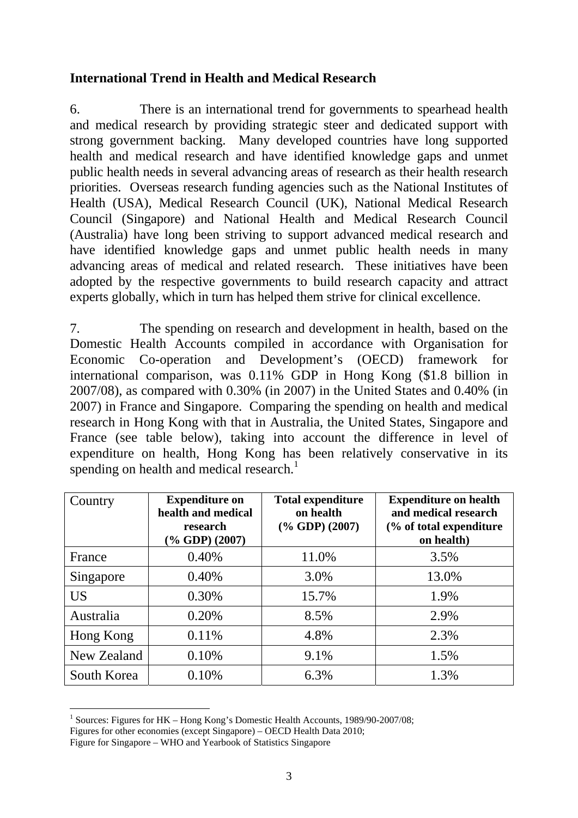# **International Trend in Health and Medical Research**

6. There is an international trend for governments to spearhead health and medical research by providing strategic steer and dedicated support with strong government backing. Many developed countries have long supported health and medical research and have identified knowledge gaps and unmet public health needs in several advancing areas of research as their health research priorities. Overseas research funding agencies such as the National Institutes of Health (USA), Medical Research Council (UK), National Medical Research Council (Singapore) and National Health and Medical Research Council (Australia) have long been striving to support advanced medical research and have identified knowledge gaps and unmet public health needs in many advancing areas of medical and related research. These initiatives have been adopted by the respective governments to build research capacity and attract experts globally, which in turn has helped them strive for clinical excellence.

7. The spending on research and development in health, based on the Domestic Health Accounts compiled in accordance with Organisation for Economic Co-operation and Development's (OECD) framework for international comparison, was 0.11% GDP in Hong Kong (\$1.8 billion in 2007/08), as compared with 0.30% (in 2007) in the United States and 0.40% (in 2007) in France and Singapore. Comparing the spending on health and medical research in Hong Kong with that in Australia, the United States, Singapore and France (see table below), taking into account the difference in level of expenditure on health, Hong Kong has been relatively conservative in its spending on health and medical research.<sup>1</sup>

| Country     | <b>Expenditure on</b><br>health and medical<br>research<br>$(\%$ GDP $)$ (2007) | <b>Total expenditure</b><br>on health<br>$(% \mathbf{GDP} )$ (2007) | <b>Expenditure on health</b><br>and medical research<br>(% of total expenditure<br>on health) |
|-------------|---------------------------------------------------------------------------------|---------------------------------------------------------------------|-----------------------------------------------------------------------------------------------|
| France      | 0.40%                                                                           | 11.0%                                                               | 3.5%                                                                                          |
| Singapore   | 0.40%                                                                           | 3.0%                                                                | 13.0%                                                                                         |
| <b>US</b>   | 0.30%                                                                           | 15.7%                                                               | 1.9%                                                                                          |
| Australia   | 0.20%                                                                           | 8.5%                                                                | 2.9%                                                                                          |
| Hong Kong   | 0.11%                                                                           | 4.8%                                                                | 2.3%                                                                                          |
| New Zealand | 0.10%                                                                           | 9.1%                                                                | 1.5%                                                                                          |
| South Korea | 0.10%                                                                           | 6.3%                                                                | 1.3%                                                                                          |

<sup>1</sup> <sup>1</sup> Sources: Figures for HK – Hong Kong's Domestic Health Accounts, 1989/90-2007/08;

Figures for other economies (except Singapore) – OECD Health Data 2010;

Figure for Singapore – WHO and Yearbook of Statistics Singapore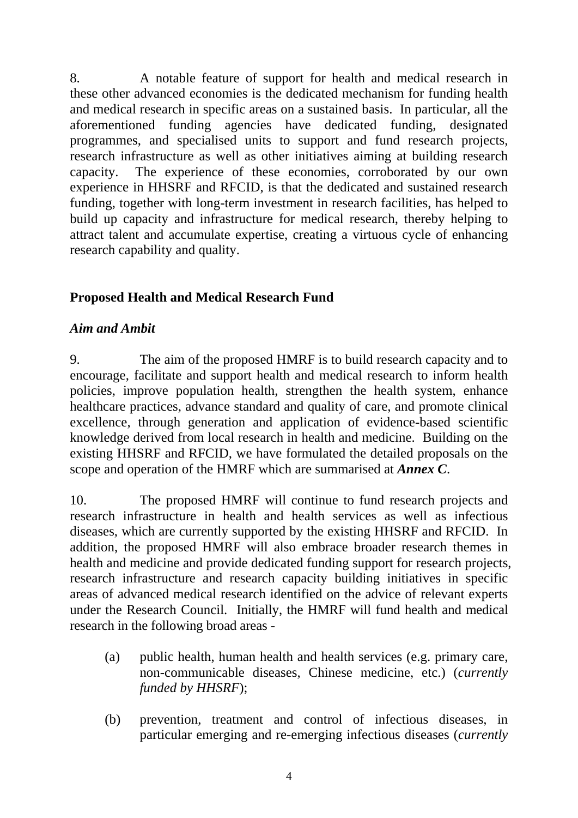8. A notable feature of support for health and medical research in these other advanced economies is the dedicated mechanism for funding health and medical research in specific areas on a sustained basis. In particular, all the aforementioned funding agencies have dedicated funding, designated programmes, and specialised units to support and fund research projects, research infrastructure as well as other initiatives aiming at building research capacity. The experience of these economies, corroborated by our own experience in HHSRF and RFCID, is that the dedicated and sustained research funding, together with long-term investment in research facilities, has helped to build up capacity and infrastructure for medical research, thereby helping to attract talent and accumulate expertise, creating a virtuous cycle of enhancing research capability and quality.

# **Proposed Health and Medical Research Fund**

# *Aim and Ambit*

9. The aim of the proposed HMRF is to build research capacity and to encourage, facilitate and support health and medical research to inform health policies, improve population health, strengthen the health system, enhance healthcare practices, advance standard and quality of care, and promote clinical excellence, through generation and application of evidence-based scientific knowledge derived from local research in health and medicine. Building on the existing HHSRF and RFCID, we have formulated the detailed proposals on the scope and operation of the HMRF which are summarised at *Annex C*.

10. The proposed HMRF will continue to fund research projects and research infrastructure in health and health services as well as infectious diseases, which are currently supported by the existing HHSRF and RFCID. In addition, the proposed HMRF will also embrace broader research themes in health and medicine and provide dedicated funding support for research projects, research infrastructure and research capacity building initiatives in specific areas of advanced medical research identified on the advice of relevant experts under the Research Council. Initially, the HMRF will fund health and medical research in the following broad areas -

- (a) public health, human health and health services (e.g. primary care, non-communicable diseases, Chinese medicine, etc.) (*currently funded by HHSRF*);
- (b) prevention, treatment and control of infectious diseases, in particular emerging and re-emerging infectious diseases (*currently*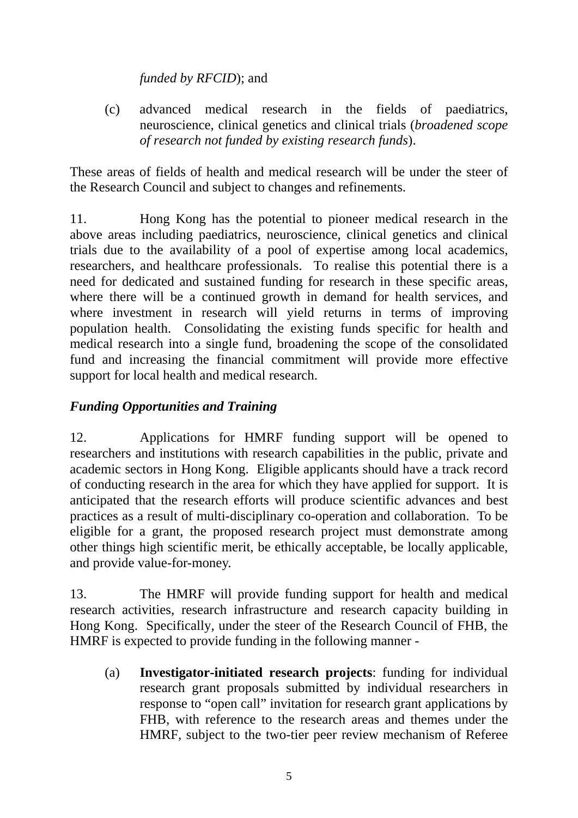*funded by RFCID*); and

(c) advanced medical research in the fields of paediatrics, neuroscience, clinical genetics and clinical trials (*broadened scope of research not funded by existing research funds*).

These areas of fields of health and medical research will be under the steer of the Research Council and subject to changes and refinements.

11. Hong Kong has the potential to pioneer medical research in the above areas including paediatrics, neuroscience, clinical genetics and clinical trials due to the availability of a pool of expertise among local academics, researchers, and healthcare professionals. To realise this potential there is a need for dedicated and sustained funding for research in these specific areas, where there will be a continued growth in demand for health services, and where investment in research will yield returns in terms of improving population health. Consolidating the existing funds specific for health and medical research into a single fund, broadening the scope of the consolidated fund and increasing the financial commitment will provide more effective support for local health and medical research.

# *Funding Opportunities and Training*

12. Applications for HMRF funding support will be opened to researchers and institutions with research capabilities in the public, private and academic sectors in Hong Kong. Eligible applicants should have a track record of conducting research in the area for which they have applied for support. It is anticipated that the research efforts will produce scientific advances and best practices as a result of multi-disciplinary co-operation and collaboration. To be eligible for a grant, the proposed research project must demonstrate among other things high scientific merit, be ethically acceptable, be locally applicable, and provide value-for-money.

13. The HMRF will provide funding support for health and medical research activities, research infrastructure and research capacity building in Hong Kong. Specifically, under the steer of the Research Council of FHB, the HMRF is expected to provide funding in the following manner -

(a) **Investigator-initiated research projects**: funding for individual research grant proposals submitted by individual researchers in response to "open call" invitation for research grant applications by FHB, with reference to the research areas and themes under the HMRF, subject to the two-tier peer review mechanism of Referee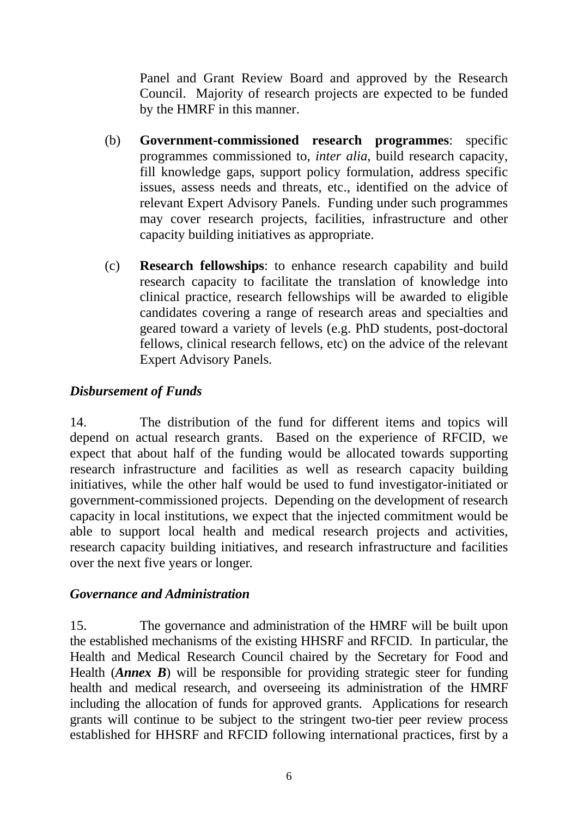Panel and Grant Review Board and approved by the Research Council. Majority of research projects are expected to be funded by the HMRF in this manner.

- (b) **Government-commissioned research programmes**: specific programmes commissioned to, *inter alia*, build research capacity, fill knowledge gaps, support policy formulation, address specific issues, assess needs and threats, etc., identified on the advice of relevant Expert Advisory Panels. Funding under such programmes may cover research projects, facilities, infrastructure and other capacity building initiatives as appropriate.
- (c) **Research fellowships**: to enhance research capability and build research capacity to facilitate the translation of knowledge into clinical practice, research fellowships will be awarded to eligible candidates covering a range of research areas and specialties and geared toward a variety of levels (e.g. PhD students, post-doctoral fellows, clinical research fellows, etc) on the advice of the relevant Expert Advisory Panels.

# *Disbursement of Funds*

14. The distribution of the fund for different items and topics will depend on actual research grants. Based on the experience of RFCID, we expect that about half of the funding would be allocated towards supporting research infrastructure and facilities as well as research capacity building initiatives, while the other half would be used to fund investigator-initiated or government-commissioned projects. Depending on the development of research capacity in local institutions, we expect that the injected commitment would be able to support local health and medical research projects and activities, research capacity building initiatives, and research infrastructure and facilities over the next five years or longer.

# *Governance and Administration*

15. The governance and administration of the HMRF will be built upon the established mechanisms of the existing HHSRF and RFCID. In particular, the Health and Medical Research Council chaired by the Secretary for Food and Health (*Annex B*) will be responsible for providing strategic steer for funding health and medical research, and overseeing its administration of the HMRF including the allocation of funds for approved grants. Applications for research grants will continue to be subject to the stringent two-tier peer review process established for HHSRF and RFCID following international practices, first by a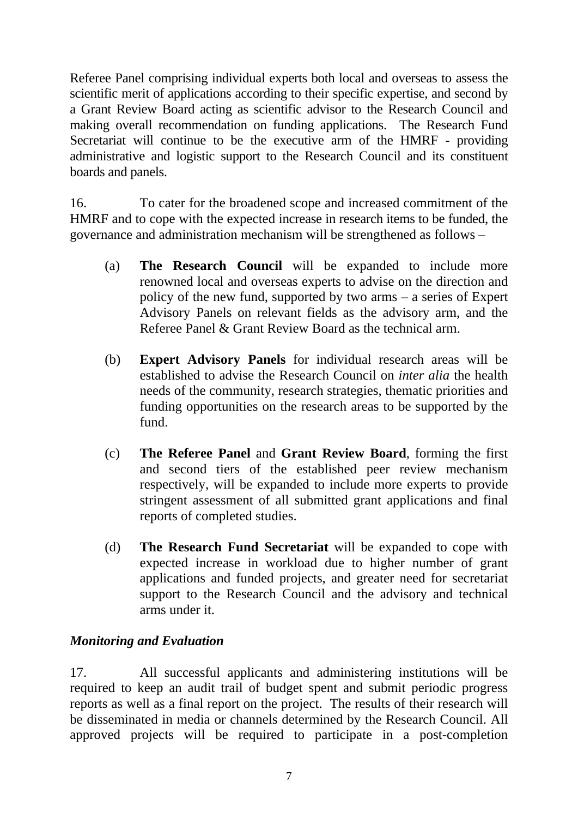Referee Panel comprising individual experts both local and overseas to assess the scientific merit of applications according to their specific expertise, and second by a Grant Review Board acting as scientific advisor to the Research Council and making overall recommendation on funding applications. The Research Fund Secretariat will continue to be the executive arm of the HMRF - providing administrative and logistic support to the Research Council and its constituent boards and panels.

16. To cater for the broadened scope and increased commitment of the HMRF and to cope with the expected increase in research items to be funded, the governance and administration mechanism will be strengthened as follows –

- (a) **The Research Council** will be expanded to include more renowned local and overseas experts to advise on the direction and policy of the new fund, supported by two arms – a series of Expert Advisory Panels on relevant fields as the advisory arm, and the Referee Panel & Grant Review Board as the technical arm.
- (b) **Expert Advisory Panels** for individual research areas will be established to advise the Research Council on *inter alia* the health needs of the community, research strategies, thematic priorities and funding opportunities on the research areas to be supported by the fund.
- (c) **The Referee Panel** and **Grant Review Board**, forming the first and second tiers of the established peer review mechanism respectively, will be expanded to include more experts to provide stringent assessment of all submitted grant applications and final reports of completed studies.
- (d) **The Research Fund Secretariat** will be expanded to cope with expected increase in workload due to higher number of grant applications and funded projects, and greater need for secretariat support to the Research Council and the advisory and technical arms under it.

# *Monitoring and Evaluation*

17. All successful applicants and administering institutions will be required to keep an audit trail of budget spent and submit periodic progress reports as well as a final report on the project. The results of their research will be disseminated in media or channels determined by the Research Council. All approved projects will be required to participate in a post-completion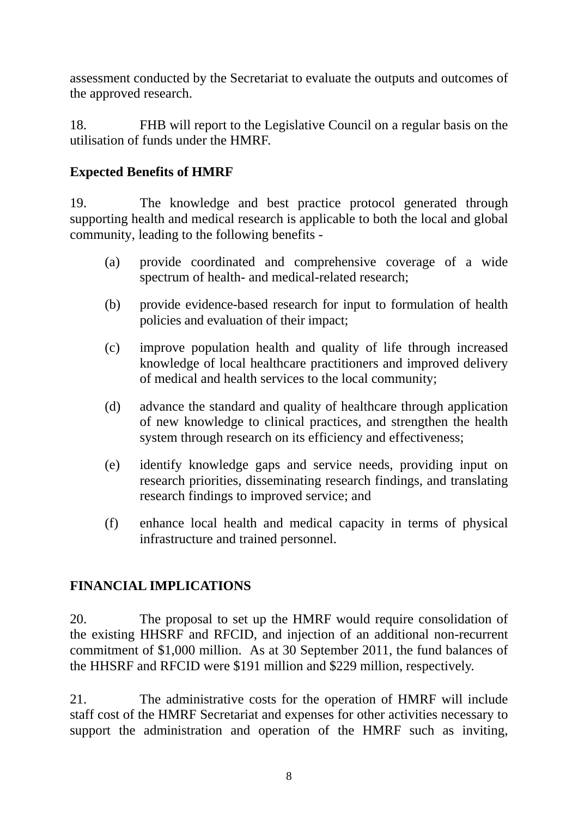assessment conducted by the Secretariat to evaluate the outputs and outcomes of the approved research.

18. FHB will report to the Legislative Council on a regular basis on the utilisation of funds under the HMRF.

# **Expected Benefits of HMRF**

19. The knowledge and best practice protocol generated through supporting health and medical research is applicable to both the local and global community, leading to the following benefits -

- (a) provide coordinated and comprehensive coverage of a wide spectrum of health- and medical-related research;
- (b) provide evidence-based research for input to formulation of health policies and evaluation of their impact;
- (c) improve population health and quality of life through increased knowledge of local healthcare practitioners and improved delivery of medical and health services to the local community;
- (d) advance the standard and quality of healthcare through application of new knowledge to clinical practices, and strengthen the health system through research on its efficiency and effectiveness;
- (e) identify knowledge gaps and service needs, providing input on research priorities, disseminating research findings, and translating research findings to improved service; and
- (f) enhance local health and medical capacity in terms of physical infrastructure and trained personnel.

# **FINANCIAL IMPLICATIONS**

20. The proposal to set up the HMRF would require consolidation of the existing HHSRF and RFCID, and injection of an additional non-recurrent commitment of \$1,000 million. As at 30 September 2011, the fund balances of the HHSRF and RFCID were \$191 million and \$229 million, respectively.

21. The administrative costs for the operation of HMRF will include staff cost of the HMRF Secretariat and expenses for other activities necessary to support the administration and operation of the HMRF such as inviting,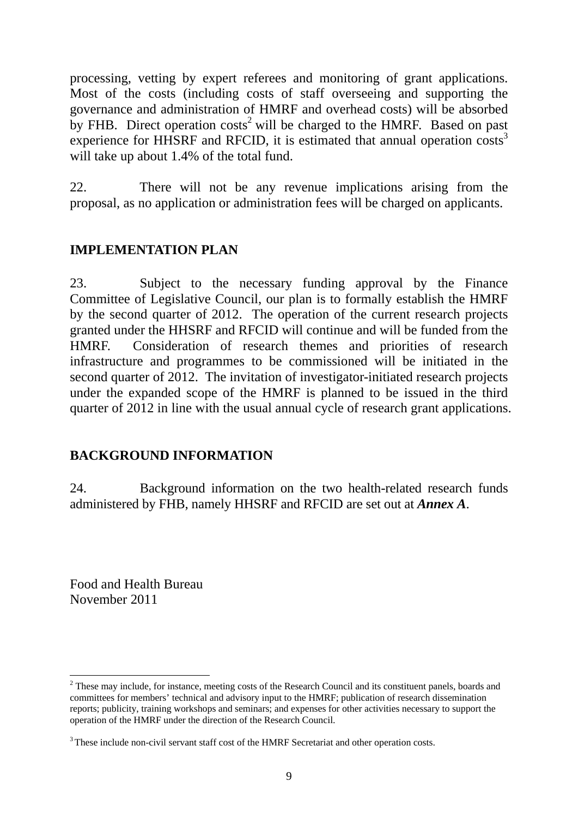processing, vetting by expert referees and monitoring of grant applications. Most of the costs (including costs of staff overseeing and supporting the governance and administration of HMRF and overhead costs) will be absorbed by FHB. Direct operation  $costs<sup>2</sup>$  will be charged to the HMRF. Based on past experience for HHSRF and RFCID, it is estimated that annual operation costs<sup>3</sup> will take up about 1.4% of the total fund.

22. There will not be any revenue implications arising from the proposal, as no application or administration fees will be charged on applicants.

# **IMPLEMENTATION PLAN**

23. Subject to the necessary funding approval by the Finance Committee of Legislative Council, our plan is to formally establish the HMRF by the second quarter of 2012. The operation of the current research projects granted under the HHSRF and RFCID will continue and will be funded from the HMRF. Consideration of research themes and priorities of research infrastructure and programmes to be commissioned will be initiated in the second quarter of 2012. The invitation of investigator-initiated research projects under the expanded scope of the HMRF is planned to be issued in the third quarter of 2012 in line with the usual annual cycle of research grant applications.

# **BACKGROUND INFORMATION**

24. Background information on the two health-related research funds administered by FHB, namely HHSRF and RFCID are set out at *Annex A*.

Food and Health Bureau November 2011

1

 $2$  These may include, for instance, meeting costs of the Research Council and its constituent panels, boards and committees for members' technical and advisory input to the HMRF; publication of research dissemination reports; publicity, training workshops and seminars; and expenses for other activities necessary to support the operation of the HMRF under the direction of the Research Council.

<sup>&</sup>lt;sup>3</sup> These include non-civil servant staff cost of the HMRF Secretariat and other operation costs.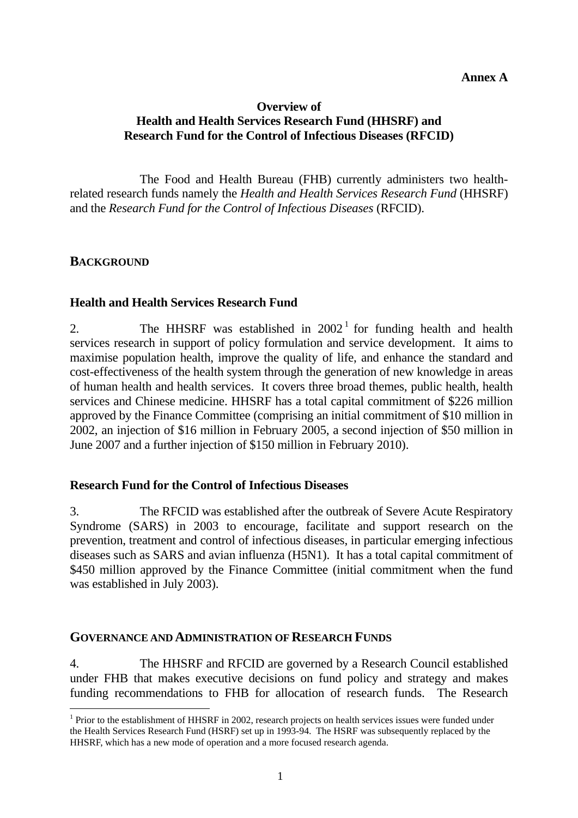### **Overview of Health and Health Services Research Fund (HHSRF) and Research Fund for the Control of Infectious Diseases (RFCID)**

 The Food and Health Bureau (FHB) currently administers two healthrelated research funds namely the *Health and Health Services Research Fund* (HHSRF) and the *Research Fund for the Control of Infectious Diseases* (RFCID).

### **BACKGROUND**

1

#### **Health and Health Services Research Fund**

2. The HHSRF was established in  $2002<sup>1</sup>$  for funding health and health services research in support of policy formulation and service development. It aims to maximise population health, improve the quality of life, and enhance the standard and cost-effectiveness of the health system through the generation of new knowledge in areas of human health and health services. It covers three broad themes, public health, health services and Chinese medicine. HHSRF has a total capital commitment of \$226 million approved by the Finance Committee (comprising an initial commitment of \$10 million in 2002, an injection of \$16 million in February 2005, a second injection of \$50 million in June 2007 and a further injection of \$150 million in February 2010).

#### **Research Fund for the Control of Infectious Diseases**

3. The RFCID was established after the outbreak of Severe Acute Respiratory Syndrome (SARS) in 2003 to encourage, facilitate and support research on the prevention, treatment and control of infectious diseases, in particular emerging infectious diseases such as SARS and avian influenza (H5N1). It has a total capital commitment of \$450 million approved by the Finance Committee (initial commitment when the fund was established in July 2003).

#### **GOVERNANCE AND ADMINISTRATION OF RESEARCH FUNDS**

4. The HHSRF and RFCID are governed by a Research Council established under FHB that makes executive decisions on fund policy and strategy and makes funding recommendations to FHB for allocation of research funds. The Research

<sup>&</sup>lt;sup>1</sup> Prior to the establishment of HHSRF in 2002, research projects on health services issues were funded under the Health Services Research Fund (HSRF) set up in 1993-94. The HSRF was subsequently replaced by the HHSRF, which has a new mode of operation and a more focused research agenda.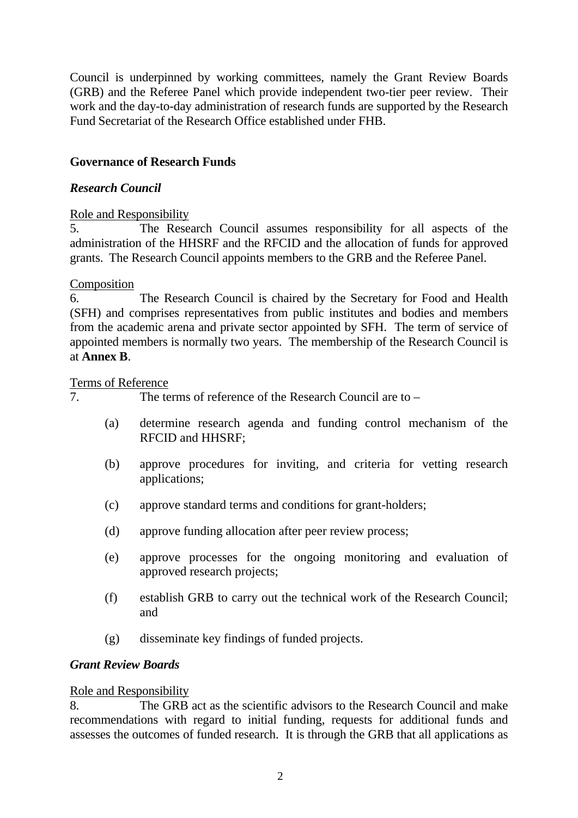Council is underpinned by working committees, namely the Grant Review Boards (GRB) and the Referee Panel which provide independent two-tier peer review. Their work and the day-to-day administration of research funds are supported by the Research Fund Secretariat of the Research Office established under FHB.

### **Governance of Research Funds**

#### *Research Council*

#### Role and Responsibility

5. The Research Council assumes responsibility for all aspects of the administration of the HHSRF and the RFCID and the allocation of funds for approved grants. The Research Council appoints members to the GRB and the Referee Panel.

#### Composition

6. The Research Council is chaired by the Secretary for Food and Health (SFH) and comprises representatives from public institutes and bodies and members from the academic arena and private sector appointed by SFH. The term of service of appointed members is normally two years. The membership of the Research Council is at **Annex B**.

#### Terms of Reference

7. The terms of reference of the Research Council are to –

- (a) determine research agenda and funding control mechanism of the RFCID and HHSRF;
- (b) approve procedures for inviting, and criteria for vetting research applications;
- (c) approve standard terms and conditions for grant-holders;
- (d) approve funding allocation after peer review process;
- (e) approve processes for the ongoing monitoring and evaluation of approved research projects;
- (f) establish GRB to carry out the technical work of the Research Council; and
- (g) disseminate key findings of funded projects.

#### *Grant Review Boards*

#### Role and Responsibility

8. The GRB act as the scientific advisors to the Research Council and make recommendations with regard to initial funding, requests for additional funds and assesses the outcomes of funded research. It is through the GRB that all applications as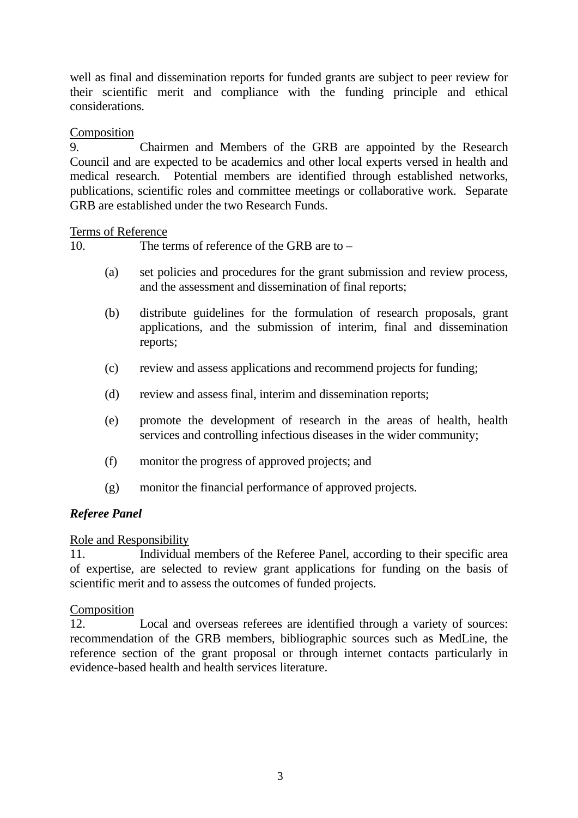well as final and dissemination reports for funded grants are subject to peer review for their scientific merit and compliance with the funding principle and ethical considerations.

### Composition

9. Chairmen and Members of the GRB are appointed by the Research Council and are expected to be academics and other local experts versed in health and medical research. Potential members are identified through established networks, publications, scientific roles and committee meetings or collaborative work. Separate GRB are established under the two Research Funds.

#### Terms of Reference

10. The terms of reference of the GRB are to –

- (a) set policies and procedures for the grant submission and review process, and the assessment and dissemination of final reports;
- (b) distribute guidelines for the formulation of research proposals, grant applications, and the submission of interim, final and dissemination reports;
- (c) review and assess applications and recommend projects for funding;
- (d) review and assess final, interim and dissemination reports;
- (e) promote the development of research in the areas of health, health services and controlling infectious diseases in the wider community;
- (f) monitor the progress of approved projects; and
- (g) monitor the financial performance of approved projects.

# *Referee Panel*

#### Role and Responsibility

11. Individual members of the Referee Panel, according to their specific area of expertise, are selected to review grant applications for funding on the basis of scientific merit and to assess the outcomes of funded projects.

#### Composition

12. Local and overseas referees are identified through a variety of sources: recommendation of the GRB members, bibliographic sources such as MedLine, the reference section of the grant proposal or through internet contacts particularly in evidence-based health and health services literature.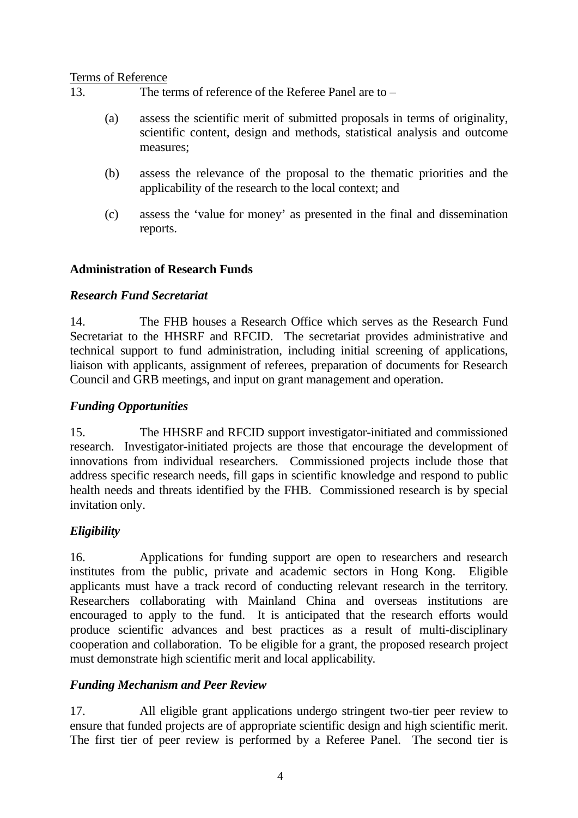#### Terms of Reference

13. The terms of reference of the Referee Panel are to –

- (a) assess the scientific merit of submitted proposals in terms of originality, scientific content, design and methods, statistical analysis and outcome measures;
- (b) assess the relevance of the proposal to the thematic priorities and the applicability of the research to the local context; and
- (c) assess the 'value for money' as presented in the final and dissemination reports.

#### **Administration of Research Funds**

#### *Research Fund Secretariat*

14. The FHB houses a Research Office which serves as the Research Fund Secretariat to the HHSRF and RFCID. The secretariat provides administrative and technical support to fund administration, including initial screening of applications, liaison with applicants, assignment of referees, preparation of documents for Research Council and GRB meetings, and input on grant management and operation.

#### *Funding Opportunities*

15. The HHSRF and RFCID support investigator-initiated and commissioned research. Investigator-initiated projects are those that encourage the development of innovations from individual researchers. Commissioned projects include those that address specific research needs, fill gaps in scientific knowledge and respond to public health needs and threats identified by the FHB. Commissioned research is by special invitation only.

#### *Eligibility*

16. Applications for funding support are open to researchers and research institutes from the public, private and academic sectors in Hong Kong. Eligible applicants must have a track record of conducting relevant research in the territory. Researchers collaborating with Mainland China and overseas institutions are encouraged to apply to the fund. It is anticipated that the research efforts would produce scientific advances and best practices as a result of multi-disciplinary cooperation and collaboration. To be eligible for a grant, the proposed research project must demonstrate high scientific merit and local applicability.

#### *Funding Mechanism and Peer Review*

17. All eligible grant applications undergo stringent two-tier peer review to ensure that funded projects are of appropriate scientific design and high scientific merit. The first tier of peer review is performed by a Referee Panel. The second tier is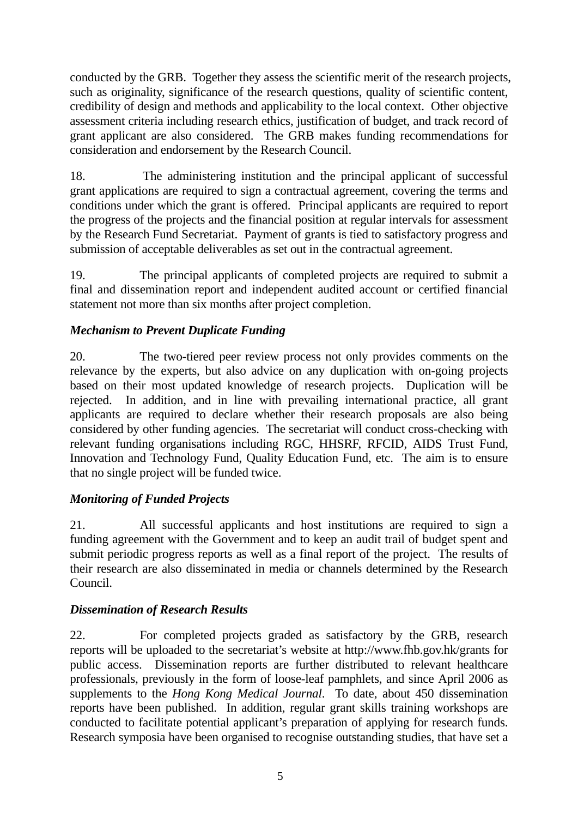conducted by the GRB. Together they assess the scientific merit of the research projects, such as originality, significance of the research questions, quality of scientific content, credibility of design and methods and applicability to the local context. Other objective assessment criteria including research ethics, justification of budget, and track record of grant applicant are also considered. The GRB makes funding recommendations for consideration and endorsement by the Research Council.

18. The administering institution and the principal applicant of successful grant applications are required to sign a contractual agreement, covering the terms and conditions under which the grant is offered. Principal applicants are required to report the progress of the projects and the financial position at regular intervals for assessment by the Research Fund Secretariat. Payment of grants is tied to satisfactory progress and submission of acceptable deliverables as set out in the contractual agreement.

19. The principal applicants of completed projects are required to submit a final and dissemination report and independent audited account or certified financial statement not more than six months after project completion.

# *Mechanism to Prevent Duplicate Funding*

20. The two-tiered peer review process not only provides comments on the relevance by the experts, but also advice on any duplication with on-going projects based on their most updated knowledge of research projects. Duplication will be rejected. In addition, and in line with prevailing international practice, all grant applicants are required to declare whether their research proposals are also being considered by other funding agencies. The secretariat will conduct cross-checking with relevant funding organisations including RGC, HHSRF, RFCID, AIDS Trust Fund, Innovation and Technology Fund, Quality Education Fund, etc. The aim is to ensure that no single project will be funded twice.

# *Monitoring of Funded Projects*

21. All successful applicants and host institutions are required to sign a funding agreement with the Government and to keep an audit trail of budget spent and submit periodic progress reports as well as a final report of the project. The results of their research are also disseminated in media or channels determined by the Research Council.

# *Dissemination of Research Results*

22. For completed projects graded as satisfactory by the GRB, research reports will be uploaded to the secretariat's website at http://www.fhb.gov.hk/grants for public access. Dissemination reports are further distributed to relevant healthcare professionals, previously in the form of loose-leaf pamphlets, and since April 2006 as supplements to the *Hong Kong Medical Journal*. To date, about 450 dissemination reports have been published. In addition, regular grant skills training workshops are conducted to facilitate potential applicant's preparation of applying for research funds. Research symposia have been organised to recognise outstanding studies, that have set a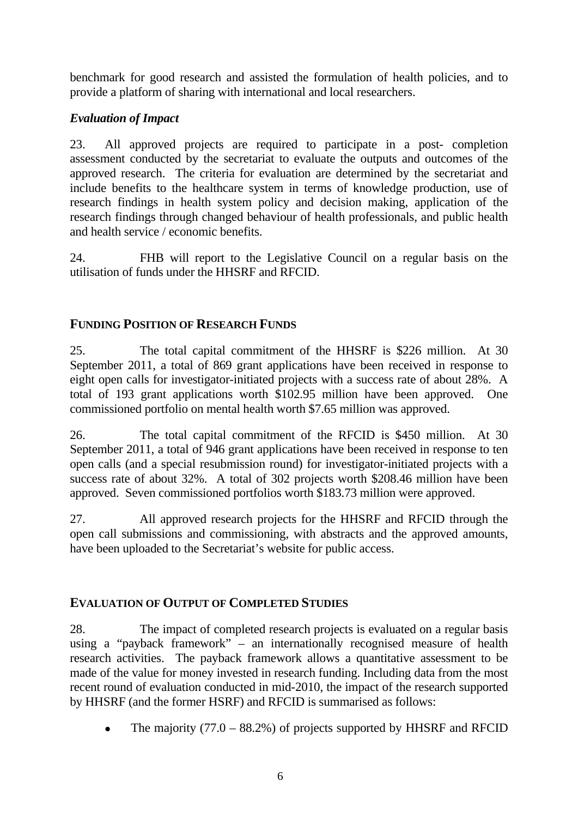benchmark for good research and assisted the formulation of health policies, and to provide a platform of sharing with international and local researchers.

# *Evaluation of Impact*

23. All approved projects are required to participate in a post- completion assessment conducted by the secretariat to evaluate the outputs and outcomes of the approved research. The criteria for evaluation are determined by the secretariat and include benefits to the healthcare system in terms of knowledge production, use of research findings in health system policy and decision making, application of the research findings through changed behaviour of health professionals, and public health and health service / economic benefits.

24. FHB will report to the Legislative Council on a regular basis on the utilisation of funds under the HHSRF and RFCID.

# **FUNDING POSITION OF RESEARCH FUNDS**

25. The total capital commitment of the HHSRF is \$226 million. At 30 September 2011, a total of 869 grant applications have been received in response to eight open calls for investigator-initiated projects with a success rate of about 28%. A total of 193 grant applications worth \$102.95 million have been approved. One commissioned portfolio on mental health worth \$7.65 million was approved.

26. The total capital commitment of the RFCID is \$450 million. At 30 September 2011, a total of 946 grant applications have been received in response to ten open calls (and a special resubmission round) for investigator-initiated projects with a success rate of about 32%. A total of 302 projects worth \$208.46 million have been approved. Seven commissioned portfolios worth \$183.73 million were approved.

27. All approved research projects for the HHSRF and RFCID through the open call submissions and commissioning, with abstracts and the approved amounts, have been uploaded to the Secretariat's website for public access.

# **EVALUATION OF OUTPUT OF COMPLETED STUDIES**

28. The impact of completed research projects is evaluated on a regular basis using a "payback framework" – an internationally recognised measure of health research activities. The payback framework allows a quantitative assessment to be made of the value for money invested in research funding. Including data from the most recent round of evaluation conducted in mid-2010, the impact of the research supported by HHSRF (and the former HSRF) and RFCID is summarised as follows:

The majority  $(77.0 - 88.2\%)$  of projects supported by HHSRF and RFCID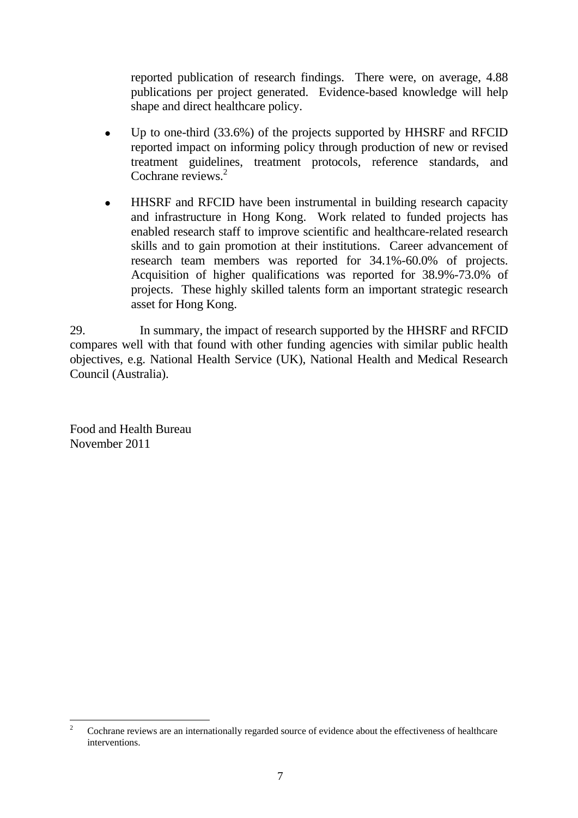reported publication of research findings. There were, on average, 4.88 publications per project generated. Evidence-based knowledge will help shape and direct healthcare policy.

- Up to one-third (33.6%) of the projects supported by HHSRF and RFCID reported impact on informing policy through production of new or revised treatment guidelines, treatment protocols, reference standards, and Cochrane reviews.<sup>2</sup>
- HHSRF and RFCID have been instrumental in building research capacity and infrastructure in Hong Kong. Work related to funded projects has enabled research staff to improve scientific and healthcare-related research skills and to gain promotion at their institutions. Career advancement of research team members was reported for 34.1%-60.0% of projects. Acquisition of higher qualifications was reported for 38.9%-73.0% of projects. These highly skilled talents form an important strategic research asset for Hong Kong.

29. In summary, the impact of research supported by the HHSRF and RFCID compares well with that found with other funding agencies with similar public health objectives, e.g. National Health Service (UK), National Health and Medical Research Council (Australia).

Food and Health Bureau November 2011

 $\frac{1}{2}$  Cochrane reviews are an internationally regarded source of evidence about the effectiveness of healthcare interventions.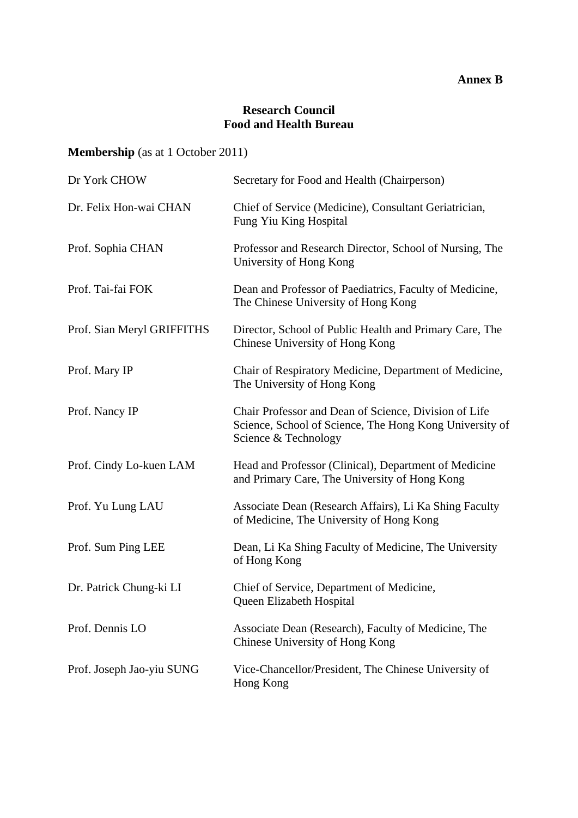### **Annex B**

### **Research Council Food and Health Bureau**

# **Membership** (as at 1 October 2011)

| Dr York CHOW               | Secretary for Food and Health (Chairperson)                                                                                              |
|----------------------------|------------------------------------------------------------------------------------------------------------------------------------------|
| Dr. Felix Hon-wai CHAN     | Chief of Service (Medicine), Consultant Geriatrician,<br>Fung Yiu King Hospital                                                          |
| Prof. Sophia CHAN          | Professor and Research Director, School of Nursing, The<br>University of Hong Kong                                                       |
| Prof. Tai-fai FOK          | Dean and Professor of Paediatrics, Faculty of Medicine,<br>The Chinese University of Hong Kong                                           |
| Prof. Sian Meryl GRIFFITHS | Director, School of Public Health and Primary Care, The<br>Chinese University of Hong Kong                                               |
| Prof. Mary IP              | Chair of Respiratory Medicine, Department of Medicine,<br>The University of Hong Kong                                                    |
| Prof. Nancy IP             | Chair Professor and Dean of Science, Division of Life<br>Science, School of Science, The Hong Kong University of<br>Science & Technology |
| Prof. Cindy Lo-kuen LAM    | Head and Professor (Clinical), Department of Medicine<br>and Primary Care, The University of Hong Kong                                   |
| Prof. Yu Lung LAU          | Associate Dean (Research Affairs), Li Ka Shing Faculty<br>of Medicine, The University of Hong Kong                                       |
| Prof. Sum Ping LEE         | Dean, Li Ka Shing Faculty of Medicine, The University<br>of Hong Kong                                                                    |
| Dr. Patrick Chung-ki LI    | Chief of Service, Department of Medicine,<br>Queen Elizabeth Hospital                                                                    |
| Prof. Dennis LO            | Associate Dean (Research), Faculty of Medicine, The<br>Chinese University of Hong Kong                                                   |
| Prof. Joseph Jao-yiu SUNG  | Vice-Chancellor/President, The Chinese University of<br>Hong Kong                                                                        |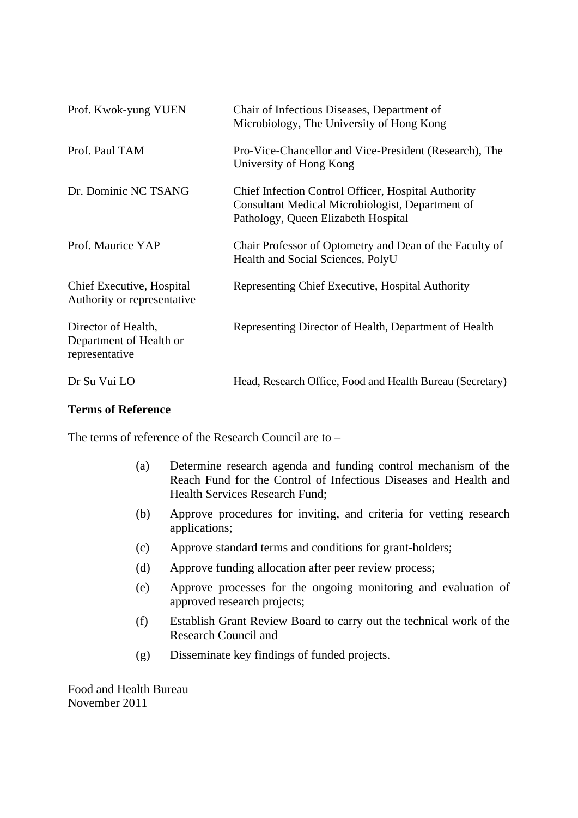| Prof. Kwok-yung YUEN                                             | Chair of Infectious Diseases, Department of<br>Microbiology, The University of Hong Kong                                                       |
|------------------------------------------------------------------|------------------------------------------------------------------------------------------------------------------------------------------------|
| Prof. Paul TAM                                                   | Pro-Vice-Chancellor and Vice-President (Research), The<br>University of Hong Kong                                                              |
| Dr. Dominic NC TSANG                                             | Chief Infection Control Officer, Hospital Authority<br>Consultant Medical Microbiologist, Department of<br>Pathology, Queen Elizabeth Hospital |
| Prof. Maurice YAP                                                | Chair Professor of Optometry and Dean of the Faculty of<br>Health and Social Sciences, PolyU                                                   |
| Chief Executive, Hospital<br>Authority or representative         | Representing Chief Executive, Hospital Authority                                                                                               |
| Director of Health,<br>Department of Health or<br>representative | Representing Director of Health, Department of Health                                                                                          |
| Dr Su Vui LO                                                     | Head, Research Office, Food and Health Bureau (Secretary)                                                                                      |

#### **Terms of Reference**

The terms of reference of the Research Council are to –

- (a) Determine research agenda and funding control mechanism of the Reach Fund for the Control of Infectious Diseases and Health and Health Services Research Fund;
- (b) Approve procedures for inviting, and criteria for vetting research applications;
- (c) Approve standard terms and conditions for grant-holders;
- (d) Approve funding allocation after peer review process;
- (e) Approve processes for the ongoing monitoring and evaluation of approved research projects;
- (f) Establish Grant Review Board to carry out the technical work of the Research Council and
- (g) Disseminate key findings of funded projects.

Food and Health Bureau November 2011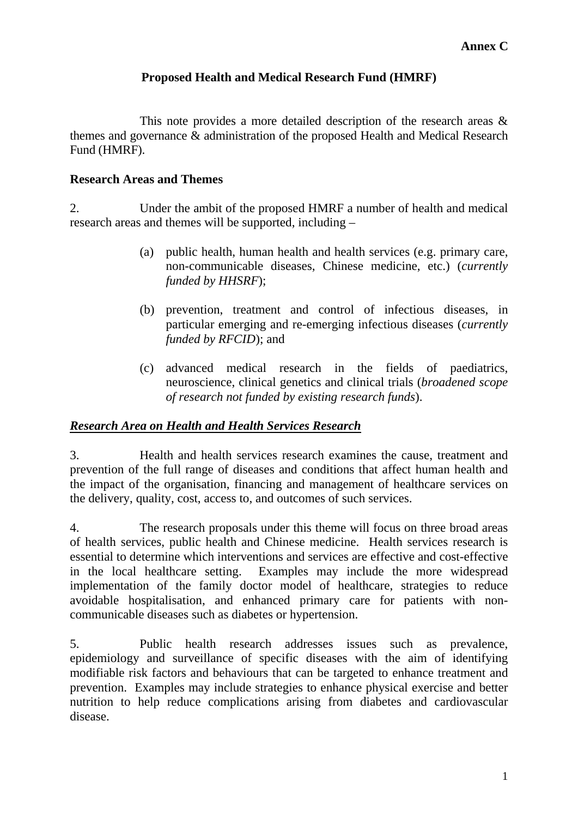### **Proposed Health and Medical Research Fund (HMRF)**

 This note provides a more detailed description of the research areas & themes and governance & administration of the proposed Health and Medical Research Fund (HMRF).

### **Research Areas and Themes**

2. Under the ambit of the proposed HMRF a number of health and medical research areas and themes will be supported, including –

- (a) public health, human health and health services (e.g. primary care, non-communicable diseases, Chinese medicine, etc.) (*currently funded by HHSRF*);
- (b) prevention, treatment and control of infectious diseases, in particular emerging and re-emerging infectious diseases (*currently funded by RFCID*); and
- (c) advanced medical research in the fields of paediatrics, neuroscience, clinical genetics and clinical trials (*broadened scope of research not funded by existing research funds*).

# *Research Area on Health and Health Services Research*

3. Health and health services research examines the cause, treatment and prevention of the full range of diseases and conditions that affect human health and the impact of the organisation, financing and management of healthcare services on the delivery, quality, cost, access to, and outcomes of such services.

4. The research proposals under this theme will focus on three broad areas of health services, public health and Chinese medicine. Health services research is essential to determine which interventions and services are effective and cost-effective in the local healthcare setting. Examples may include the more widespread implementation of the family doctor model of healthcare, strategies to reduce avoidable hospitalisation, and enhanced primary care for patients with noncommunicable diseases such as diabetes or hypertension.

5. Public health research addresses issues such as prevalence, epidemiology and surveillance of specific diseases with the aim of identifying modifiable risk factors and behaviours that can be targeted to enhance treatment and prevention. Examples may include strategies to enhance physical exercise and better nutrition to help reduce complications arising from diabetes and cardiovascular disease.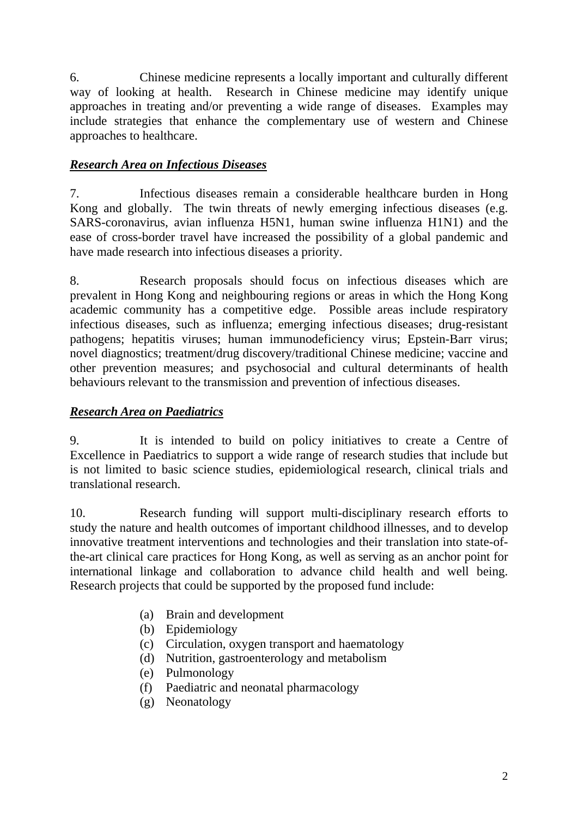6. Chinese medicine represents a locally important and culturally different way of looking at health. Research in Chinese medicine may identify unique approaches in treating and/or preventing a wide range of diseases. Examples may include strategies that enhance the complementary use of western and Chinese approaches to healthcare.

# *Research Area on Infectious Diseases*

7. Infectious diseases remain a considerable healthcare burden in Hong Kong and globally. The twin threats of newly emerging infectious diseases (e.g. SARS-coronavirus, avian influenza H5N1, human swine influenza H1N1) and the ease of cross-border travel have increased the possibility of a global pandemic and have made research into infectious diseases a priority.

8. Research proposals should focus on infectious diseases which are prevalent in Hong Kong and neighbouring regions or areas in which the Hong Kong academic community has a competitive edge. Possible areas include respiratory infectious diseases, such as influenza; emerging infectious diseases; drug-resistant pathogens; hepatitis viruses; human immunodeficiency virus; Epstein-Barr virus; novel diagnostics; treatment/drug discovery/traditional Chinese medicine; vaccine and other prevention measures; and psychosocial and cultural determinants of health behaviours relevant to the transmission and prevention of infectious diseases.

# *Research Area on Paediatrics*

9. It is intended to build on policy initiatives to create a Centre of Excellence in Paediatrics to support a wide range of research studies that include but is not limited to basic science studies, epidemiological research, clinical trials and translational research.

10. Research funding will support multi-disciplinary research efforts to study the nature and health outcomes of important childhood illnesses, and to develop innovative treatment interventions and technologies and their translation into state-ofthe-art clinical care practices for Hong Kong, as well as serving as an anchor point for international linkage and collaboration to advance child health and well being. Research projects that could be supported by the proposed fund include:

- (a) Brain and development
- (b) Epidemiology
- (c) Circulation, oxygen transport and haematology
- (d) Nutrition, gastroenterology and metabolism
- (e) Pulmonology
- (f) Paediatric and neonatal pharmacology
- (g) Neonatology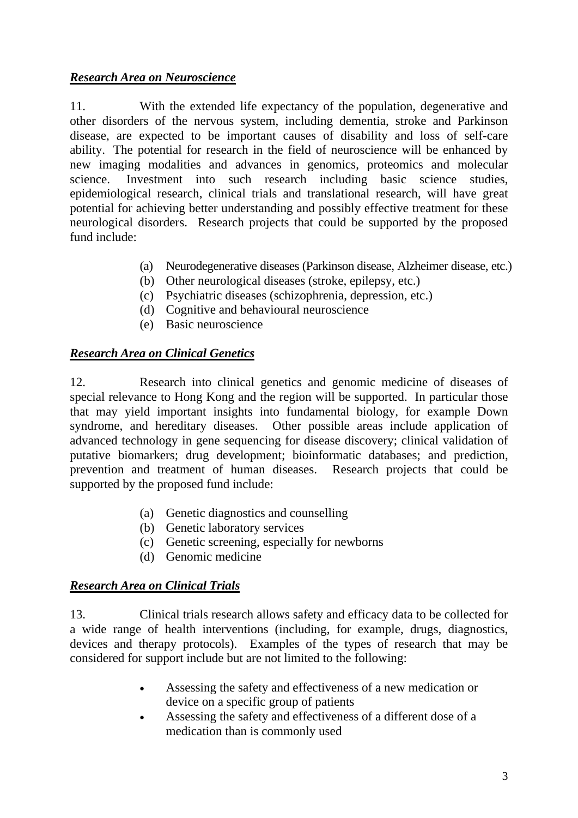### *Research Area on Neuroscience*

11. With the extended life expectancy of the population, degenerative and other disorders of the nervous system, including dementia, stroke and Parkinson disease, are expected to be important causes of disability and loss of self-care ability. The potential for research in the field of neuroscience will be enhanced by new imaging modalities and advances in genomics, proteomics and molecular science. Investment into such research including basic science studies, epidemiological research, clinical trials and translational research, will have great potential for achieving better understanding and possibly effective treatment for these neurological disorders. Research projects that could be supported by the proposed fund include:

- (a) Neurodegenerative diseases (Parkinson disease, Alzheimer disease, etc.)
- (b) Other neurological diseases (stroke, epilepsy, etc.)
- (c) Psychiatric diseases (schizophrenia, depression, etc.)
- (d) Cognitive and behavioural neuroscience
- (e) Basic neuroscience

### *Research Area on Clinical Genetics*

12. Research into clinical genetics and genomic medicine of diseases of special relevance to Hong Kong and the region will be supported. In particular those that may yield important insights into fundamental biology, for example Down syndrome, and hereditary diseases. Other possible areas include application of advanced technology in gene sequencing for disease discovery; clinical validation of putative biomarkers; drug development; bioinformatic databases; and prediction, prevention and treatment of human diseases. Research projects that could be supported by the proposed fund include:

- (a) Genetic diagnostics and counselling
- (b) Genetic laboratory services
- (c) Genetic screening, especially for newborns
- (d) Genomic medicine

#### *Research Area on Clinical Trials*

13. Clinical trials research allows safety and efficacy data to be collected for a wide range of health interventions (including, for example, drugs, diagnostics, devices and therapy protocols). Examples of the types of research that may be considered for support include but are not limited to the following:

- Assessing the safety and effectiveness of a new medication or device on a specific group of patients
- Assessing the safety and effectiveness of a different dose of a medication than is commonly used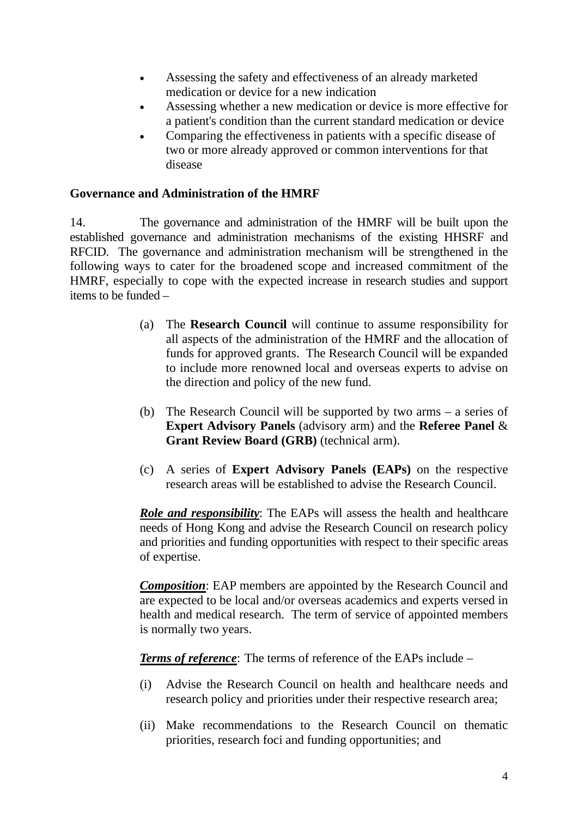- Assessing the safety and effectiveness of an already marketed medication or device for a new indication
- Assessing whether a new medication or device is more effective for a patient's condition than the current standard medication or device
- Comparing the effectiveness in patients with a specific disease of two or more already approved or common interventions for that disease

### **Governance and Administration of the HMRF**

14. The governance and administration of the HMRF will be built upon the established governance and administration mechanisms of the existing HHSRF and RFCID. The governance and administration mechanism will be strengthened in the following ways to cater for the broadened scope and increased commitment of the HMRF, especially to cope with the expected increase in research studies and support items to be funded –

- (a) The **Research Council** will continue to assume responsibility for all aspects of the administration of the HMRF and the allocation of funds for approved grants. The Research Council will be expanded to include more renowned local and overseas experts to advise on the direction and policy of the new fund.
- (b) The Research Council will be supported by two arms a series of **Expert Advisory Panels** (advisory arm) and the **Referee Panel** & **Grant Review Board (GRB)** (technical arm).
- (c) A series of **Expert Advisory Panels (EAPs)** on the respective research areas will be established to advise the Research Council.

*Role and responsibility*: The EAPs will assess the health and healthcare needs of Hong Kong and advise the Research Council on research policy and priorities and funding opportunities with respect to their specific areas of expertise.

*Composition*: EAP members are appointed by the Research Council and are expected to be local and/or overseas academics and experts versed in health and medical research. The term of service of appointed members is normally two years.

*Terms of reference*: The terms of reference of the EAPs include –

- (i) Advise the Research Council on health and healthcare needs and research policy and priorities under their respective research area;
- (ii) Make recommendations to the Research Council on thematic priorities, research foci and funding opportunities; and